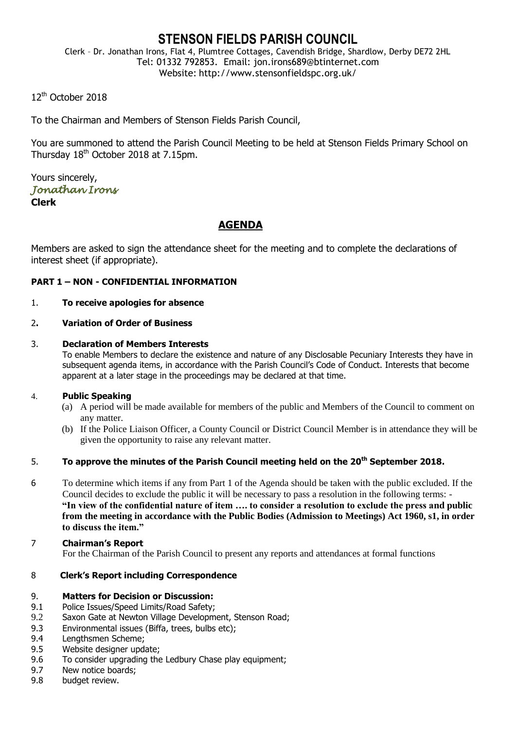# **STENSON FIELDS PARISH COUNCIL**

Clerk – Dr. Jonathan Irons, Flat 4, Plumtree Cottages, Cavendish Bridge, Shardlow, Derby DE72 2HL Tel: 01332 792853. Email: jon.irons689@btinternet.com Website: http://www.stensonfieldspc.org.uk/

12<sup>th</sup> October 2018

To the Chairman and Members of Stenson Fields Parish Council,

You are summoned to attend the Parish Council Meeting to be held at Stenson Fields Primary School on Thursday 18<sup>th</sup> October 2018 at 7.15pm.

Yours sincerely, *Jonathan Irons*  **Clerk**

# **AGENDA**

Members are asked to sign the attendance sheet for the meeting and to complete the declarations of interest sheet (if appropriate).

## **PART 1 – NON - CONFIDENTIAL INFORMATION**

#### 1. **To receive apologies for absence**

#### 2**. Variation of Order of Business**

#### 3. **Declaration of Members Interests**

To enable Members to declare the existence and nature of any Disclosable Pecuniary Interests they have in subsequent agenda items, in accordance with the Parish Council's Code of Conduct. Interests that become apparent at a later stage in the proceedings may be declared at that time.

#### 4. **Public Speaking**

- (a) A period will be made available for members of the public and Members of the Council to comment on any matter.
- (b) If the Police Liaison Officer, a County Council or District Council Member is in attendance they will be given the opportunity to raise any relevant matter.

## 5. **To approve the minutes of the Parish Council meeting held on the 20th September 2018.**

6 To determine which items if any from Part 1 of the Agenda should be taken with the public excluded. If the Council decides to exclude the public it will be necessary to pass a resolution in the following terms: - **"In view of the confidential nature of item …. to consider a resolution to exclude the press and public from the meeting in accordance with the Public Bodies (Admission to Meetings) Act 1960, s1, in order to discuss the item."** 

#### 7 **Chairman's Report**

For the Chairman of the Parish Council to present any reports and attendances at formal functions

## 8 **Clerk's Report including Correspondence**

#### 9. **Matters for Decision or Discussion:**

- 9.1 Police Issues/Speed Limits/Road Safety;
- 9.2 Saxon Gate at Newton Village Development, Stenson Road;
- 9.3 Environmental issues (Biffa, trees, bulbs etc);
- 9.4 Lengthsmen Scheme;
- 9.5 Website designer update;
- 9.6 To consider upgrading the Ledbury Chase play equipment;
- 9.7 New notice boards;
- 9.8 budget review.